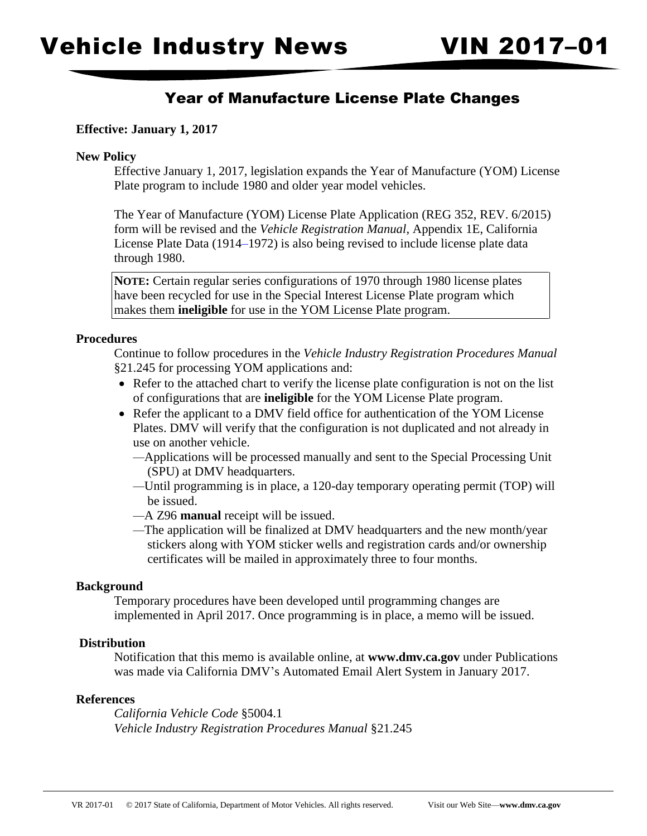# Year of Manufacture License Plate Changes

# **Effective: January 1, 2017**

#### **New Policy**

 Effective January 1, 2017, legislation expands the Year of Manufacture (YOM) License Plate program to include 1980 and older year model vehicles.

The Year of Manufacture (YOM) License Plate Application (REG 352, REV. 6/2015) form will be revised and the *Vehicle Registration Manual*, Appendix 1E, California License Plate Data (1914–1972) is also being revised to include license plate data through 1980.

**NOTE:** Certain regular series configurations of 1970 through 1980 license plates have been recycled for use in the Special Interest License Plate program which makes them **ineligible** for use in the YOM License Plate program.

### **Procedures**

Continue to follow procedures in the *Vehicle Industry Registration Procedures Manual*  §21.245 for processing YOM applications and:

- Refer to the attached chart to verify the license plate configuration is not on the list of configurations that are **ineligible** for the YOM License Plate program.
- Refer the applicant to a DMV field office for authentication of the YOM License Plates. DMV will verify that the configuration is not duplicated and not already in use on another vehicle.
	- *—*Applications will be processed manually and sent to the Special Processing Unit (SPU) at DMV headquarters.
	- *—*Until programming is in place, a 120-day temporary operating permit (TOP) will be issued.
	- *—*A Z96 **manual** receipt will be issued.
	- *—*The application will be finalized at DMV headquarters and the new month/year stickers along with YOM sticker wells and registration cards and/or ownership certificates will be mailed in approximately three to four months.

# **Background**

 Temporary procedures have been developed until programming changes are implemented in April 2017. Once programming is in place, a memo will be issued.

### **Distribution**

Notification that this memo is available online, at **<www.dmv.ca.gov>** under Publications was made via California DMV's Automated Email Alert System in January 2017.

#### **References**

*California Vehicle Code* §5004.1 *Vehicle Industry Registration Procedures Manual* §21.245